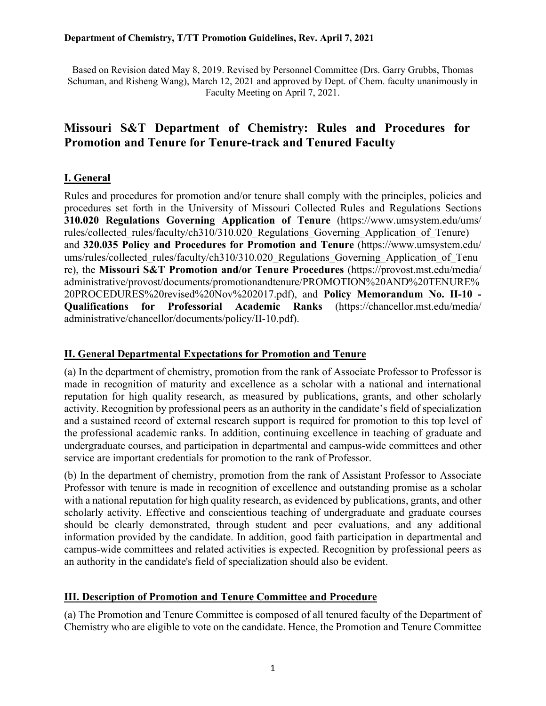#### **Department of Chemistry, T/TT Promotion Guidelines, Rev. April 7, 2021**

Based on Revision dated May 8, 2019. Revised by Personnel Committee (Drs. Garry Grubbs, Thomas Schuman, and Risheng Wang), March 12, 2021 and approved by Dept. of Chem. faculty unanimously in Faculty Meeting on April 7, 2021.

# **Missouri S&T Department of Chemistry: Rules and Procedures for Promotion and Tenure for Tenure-track and Tenured Faculty**

## **I. General**

Rules and procedures for promotion and/or tenure shall comply with the principles, policies and procedures set forth in the University of Missouri Collected Rules and Regulations Sections **310.020 Regulations Governing Application of Tenure** (https://www.umsystem.edu/ums/ rules/collected\_rules/faculty/ch310/310.020\_Regulations\_Governing\_Application\_of\_Tenure) and **320.035 Policy and Procedures for Promotion and Tenure** (https://www.umsystem.edu/ ums/rules/collected\_rules/faculty/ch310/310.020\_Regulations\_Governing\_Application\_of\_Tenu re), the **Missouri S&T Promotion and/or Tenure Procedures** (https://provost.mst.edu/media/ administrative/provost/documents/promotionandtenure/PROMOTION%20AND%20TENURE% 20PROCEDURES%20revised%20Nov%202017.pdf), and **Policy Memorandum No. II-10 - Qualifications for Professorial Academic Ranks** (https://chancellor.mst.edu/media/ administrative/chancellor/documents/policy/II-10.pdf).

#### **II. General Departmental Expectations for Promotion and Tenure**

(a) In the department of chemistry, promotion from the rank of Associate Professor to Professor is made in recognition of maturity and excellence as a scholar with a national and international reputation for high quality research, as measured by publications, grants, and other scholarly activity. Recognition by professional peers as an authority in the candidate's field of specialization and a sustained record of external research support is required for promotion to this top level of the professional academic ranks. In addition, continuing excellence in teaching of graduate and undergraduate courses, and participation in departmental and campus-wide committees and other service are important credentials for promotion to the rank of Professor.

(b) In the department of chemistry, promotion from the rank of Assistant Professor to Associate Professor with tenure is made in recognition of excellence and outstanding promise as a scholar with a national reputation for high quality research, as evidenced by publications, grants, and other scholarly activity. Effective and conscientious teaching of undergraduate and graduate courses should be clearly demonstrated, through student and peer evaluations, and any additional information provided by the candidate. In addition, good faith participation in departmental and campus-wide committees and related activities is expected. Recognition by professional peers as an authority in the candidate's field of specialization should also be evident.

#### **III. Description of Promotion and Tenure Committee and Procedure**

(a) The Promotion and Tenure Committee is composed of all tenured faculty of the Department of Chemistry who are eligible to vote on the candidate. Hence, the Promotion and Tenure Committee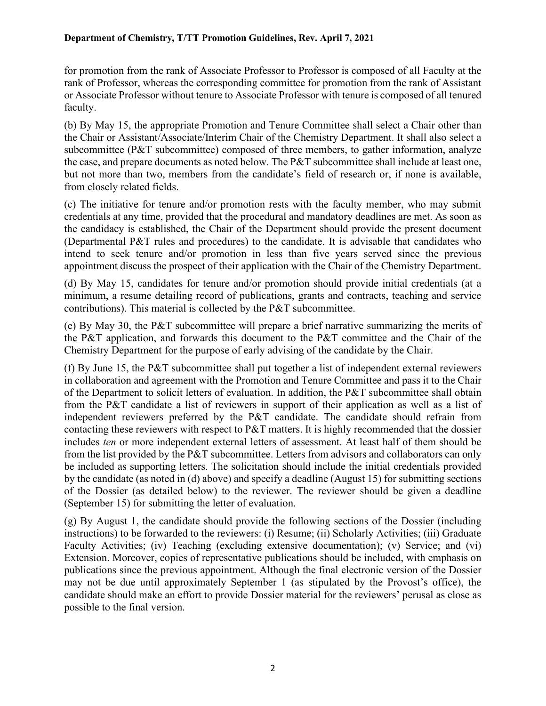for promotion from the rank of Associate Professor to Professor is composed of all Faculty at the rank of Professor, whereas the corresponding committee for promotion from the rank of Assistant or Associate Professor without tenure to Associate Professor with tenure is composed of all tenured faculty.

(b) By May 15, the appropriate Promotion and Tenure Committee shall select a Chair other than the Chair or Assistant/Associate/Interim Chair of the Chemistry Department. It shall also select a subcommittee (P&T subcommittee) composed of three members, to gather information, analyze the case, and prepare documents as noted below. The P&T subcommittee shall include at least one, but not more than two, members from the candidate's field of research or, if none is available, from closely related fields.

(c) The initiative for tenure and/or promotion rests with the faculty member, who may submit credentials at any time, provided that the procedural and mandatory deadlines are met. As soon as the candidacy is established, the Chair of the Department should provide the present document (Departmental P&T rules and procedures) to the candidate. It is advisable that candidates who intend to seek tenure and/or promotion in less than five years served since the previous appointment discuss the prospect of their application with the Chair of the Chemistry Department.

(d) By May 15, candidates for tenure and/or promotion should provide initial credentials (at a minimum, a resume detailing record of publications, grants and contracts, teaching and service contributions). This material is collected by the P&T subcommittee.

(e) By May 30, the P&T subcommittee will prepare a brief narrative summarizing the merits of the P&T application, and forwards this document to the P&T committee and the Chair of the Chemistry Department for the purpose of early advising of the candidate by the Chair.

(f) By June 15, the P&T subcommittee shall put together a list of independent external reviewers in collaboration and agreement with the Promotion and Tenure Committee and pass it to the Chair of the Department to solicit letters of evaluation. In addition, the P&T subcommittee shall obtain from the P&T candidate a list of reviewers in support of their application as well as a list of independent reviewers preferred by the P&T candidate. The candidate should refrain from contacting these reviewers with respect to P&T matters. It is highly recommended that the dossier includes *ten* or more independent external letters of assessment. At least half of them should be from the list provided by the P&T subcommittee. Letters from advisors and collaborators can only be included as supporting letters. The solicitation should include the initial credentials provided by the candidate (as noted in (d) above) and specify a deadline (August 15) for submitting sections of the Dossier (as detailed below) to the reviewer. The reviewer should be given a deadline (September 15) for submitting the letter of evaluation.

(g) By August 1, the candidate should provide the following sections of the Dossier (including instructions) to be forwarded to the reviewers: (i) Resume; (ii) Scholarly Activities; (iii) Graduate Faculty Activities; (iv) Teaching (excluding extensive documentation); (v) Service; and (vi) Extension. Moreover, copies of representative publications should be included, with emphasis on publications since the previous appointment. Although the final electronic version of the Dossier may not be due until approximately September 1 (as stipulated by the Provost's office), the candidate should make an effort to provide Dossier material for the reviewers' perusal as close as possible to the final version.